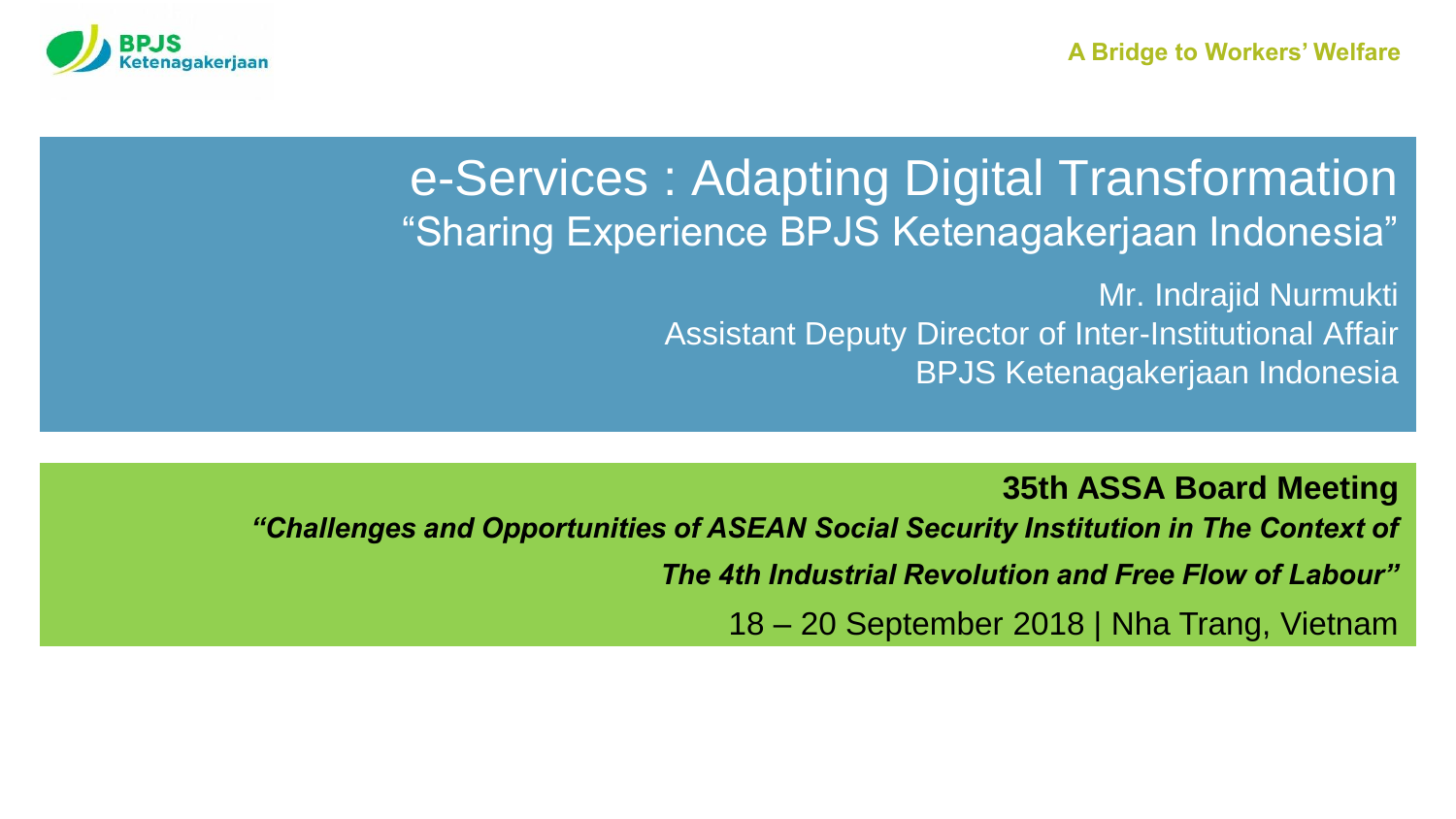

#### e-Services : Adapting Digital Transformation "Sharing Experience BPJS Ketenagakerjaan Indonesia"

Mr. Indrajid Nurmukti Assistant Deputy Director of Inter-Institutional Affair BPJS Ketenagakerjaan Indonesia

**35th ASSA Board Meeting**

*"Challenges and Opportunities of ASEAN Social Security Institution in The Context of* 

*The 4th Industrial Revolution and Free Flow of Labour"*

18 – 20 September 2018 | Nha Trang, Vietnam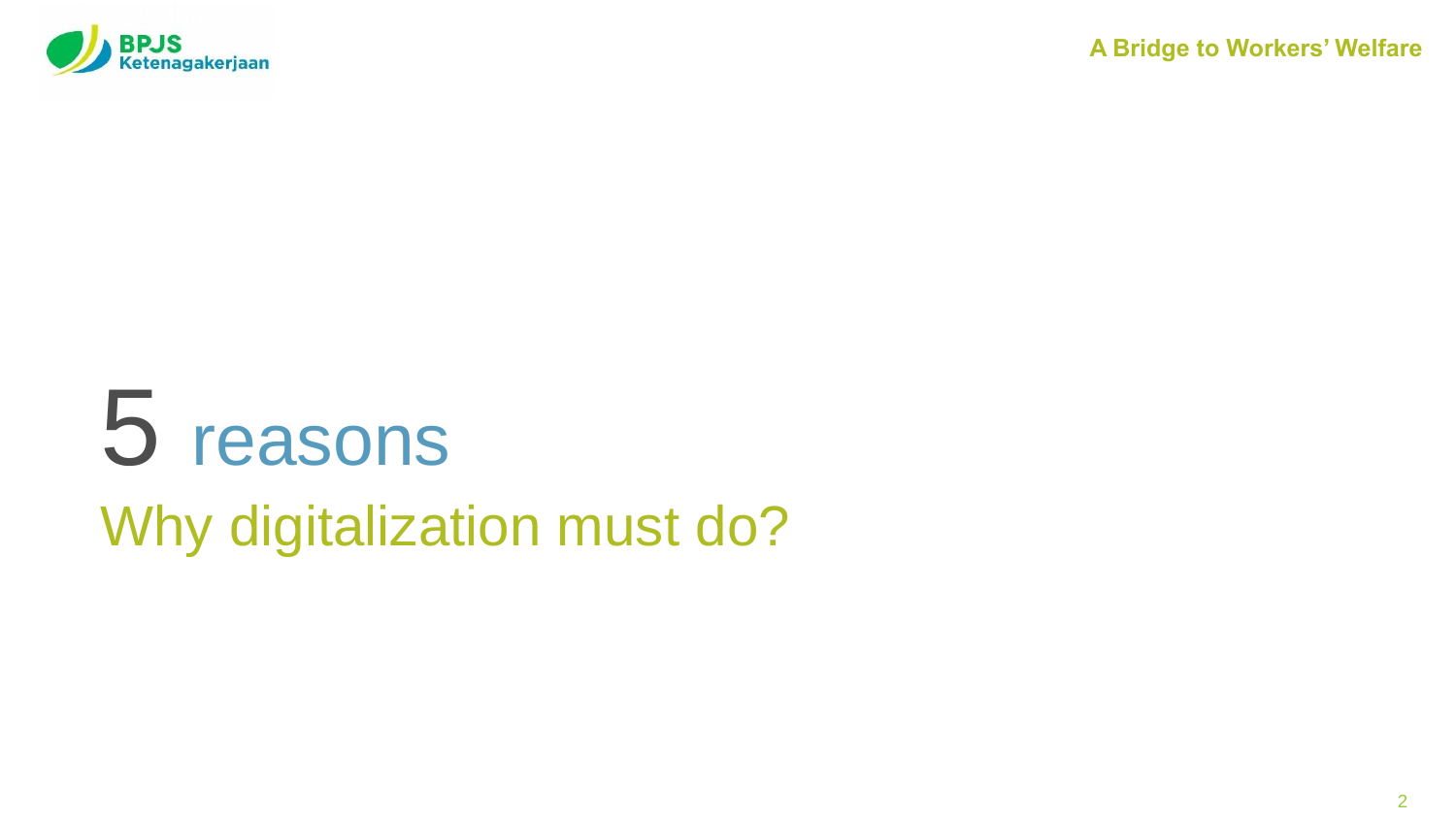

# 5 reasons Why digitalization must do?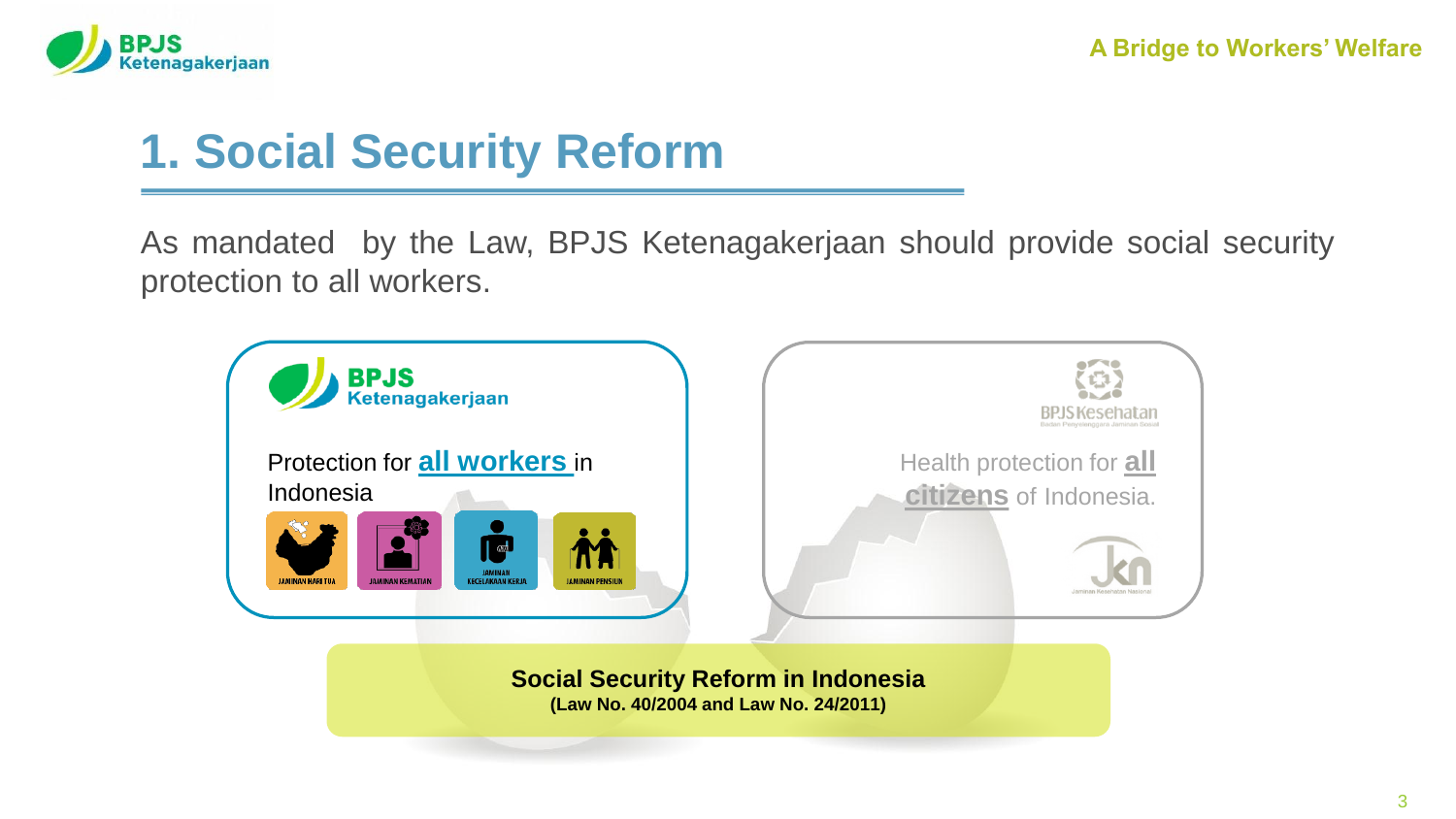

# **1. Social Security Reform**

As mandated by the Law, BPJS Ketenagakerjaan should provide social security protection to all workers.



**Social Security Reform in Indonesia (Law No. 40/2004 and Law No. 24/2011)**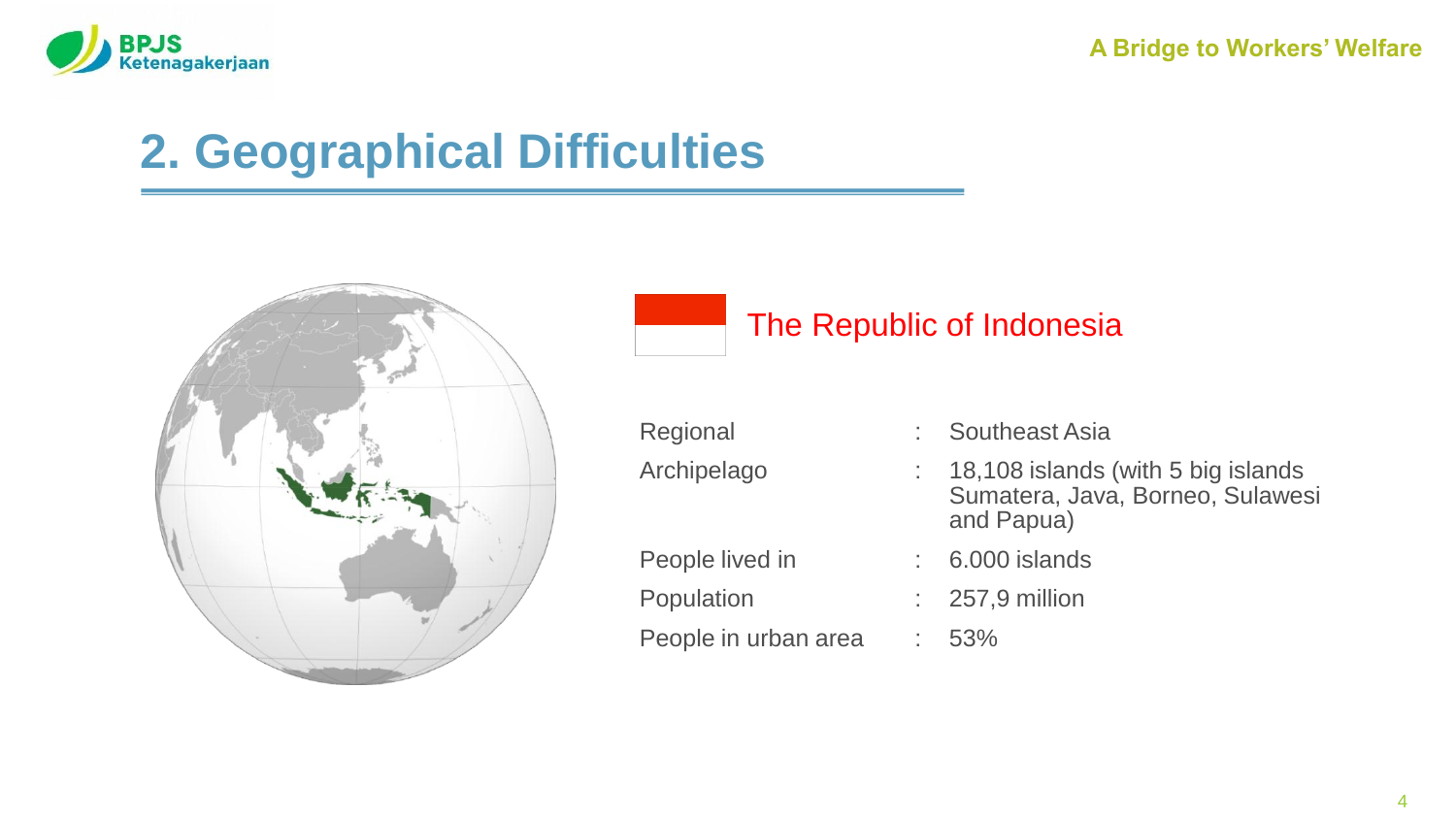

# **2. Geographical Difficulties**



#### The Republic of Indonesia

| Regional             | : Southeast Asia                                                                      |
|----------------------|---------------------------------------------------------------------------------------|
| Archipelago          | 18,108 islands (with 5 big islands)<br>Sumatera, Java, Borneo, Sulawesi<br>and Papua) |
| People lived in      | 6.000 islands                                                                         |
| Population           | $\therefore$ 257,9 million                                                            |
| People in urban area | 53%                                                                                   |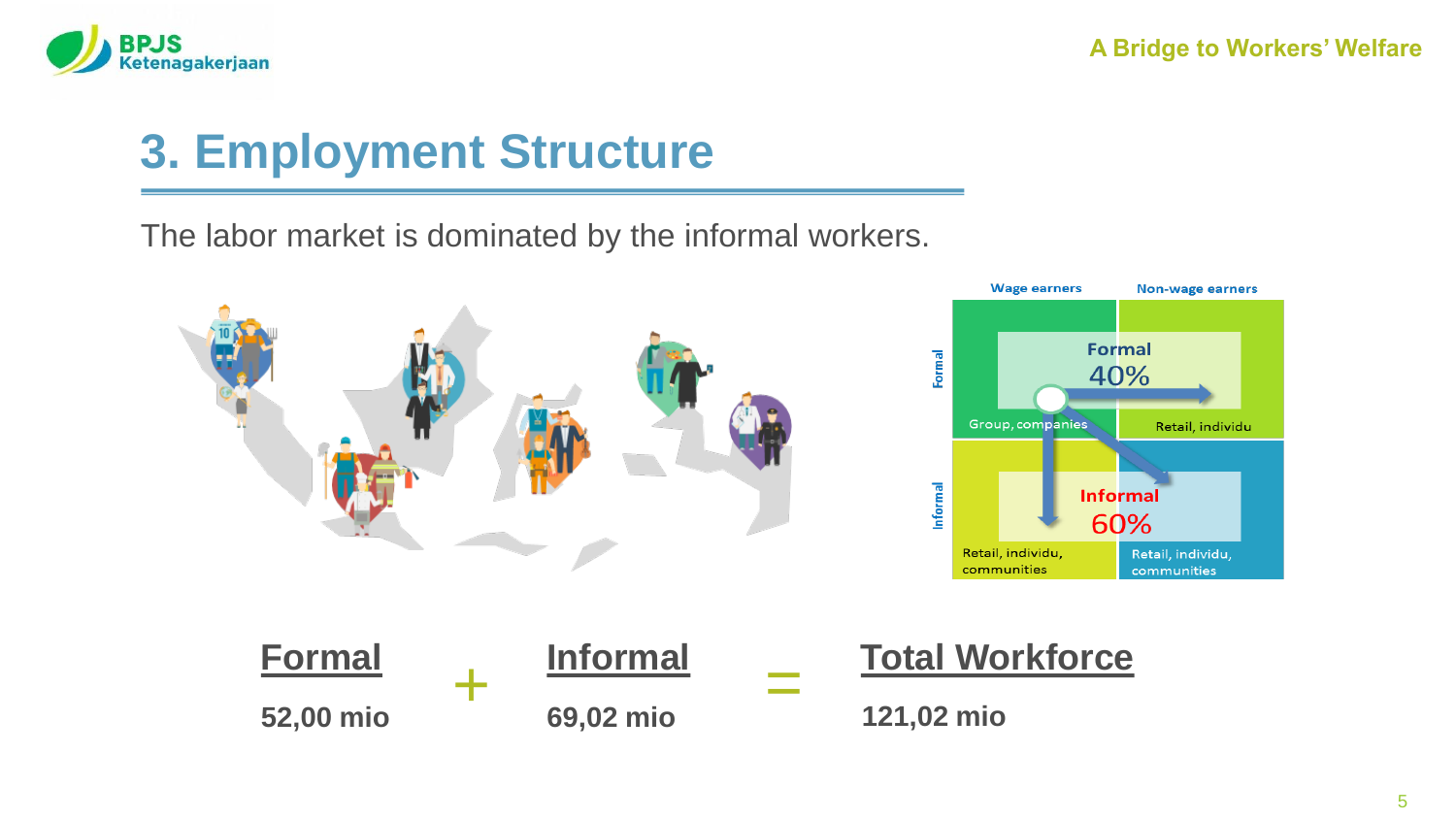

## **3. Employment Structure**

The labor market is dominated by the informal workers.

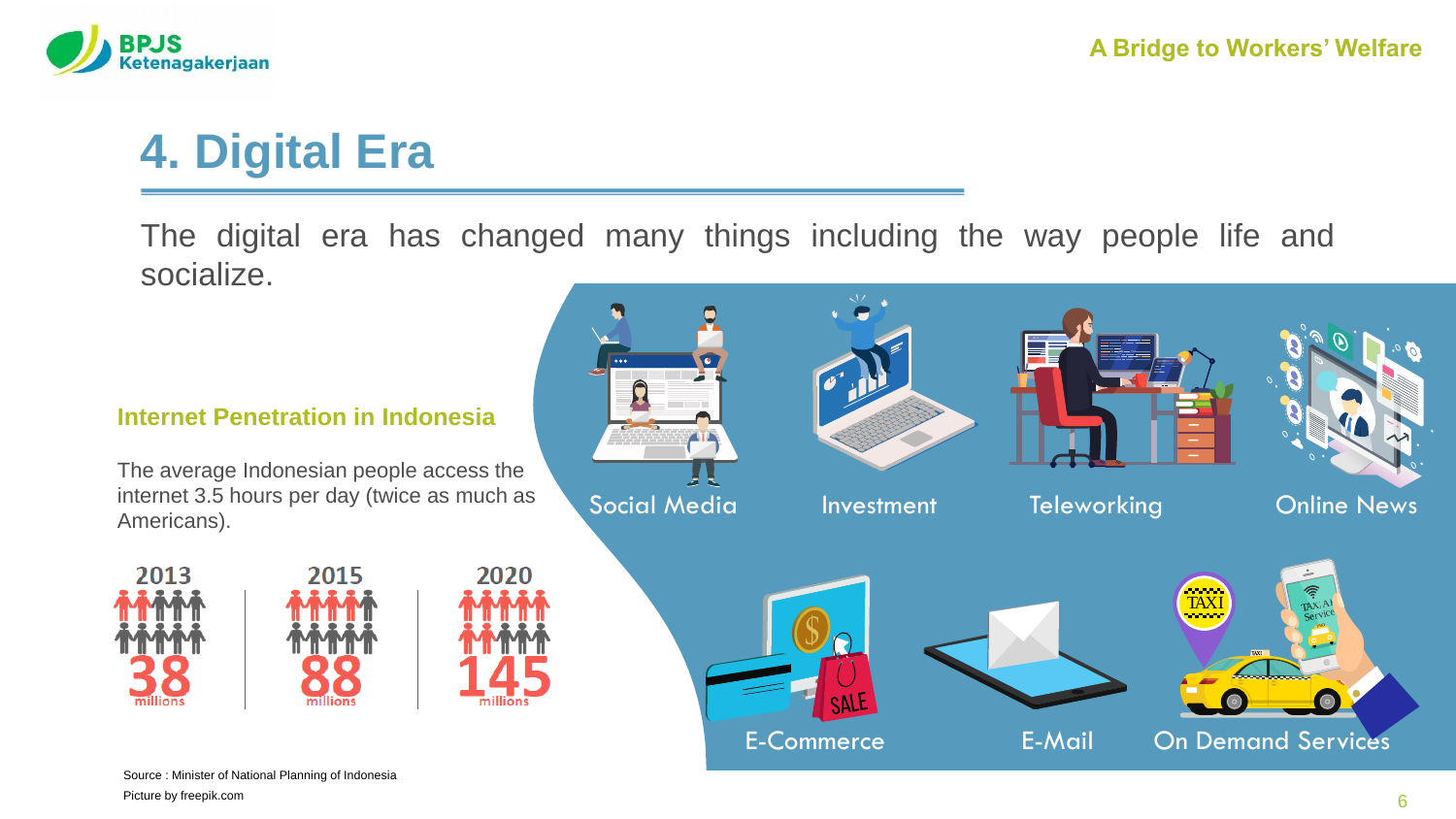

# **4. Digital Era**

The digital era has changed many things including the way people life and socialize.

#### **Internet Penetration in Indonesia**

The average Indonesian people access the internet 3.5 hours per day (twice as much as Americans).





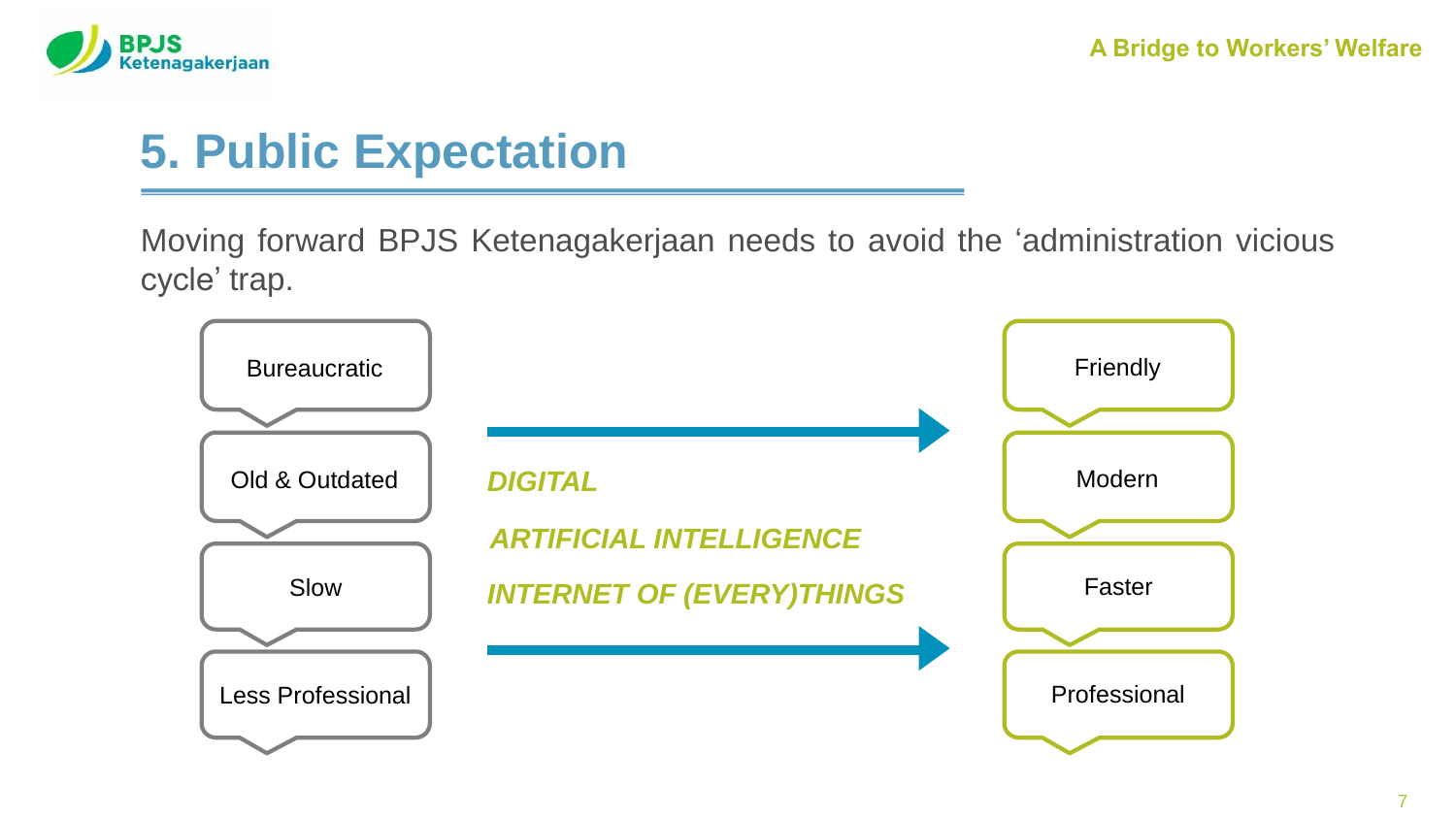

### **5. Public Expectation**

Moving forward BPJS Ketenagakerjaan needs to avoid the 'administration vicious cycle' trap.

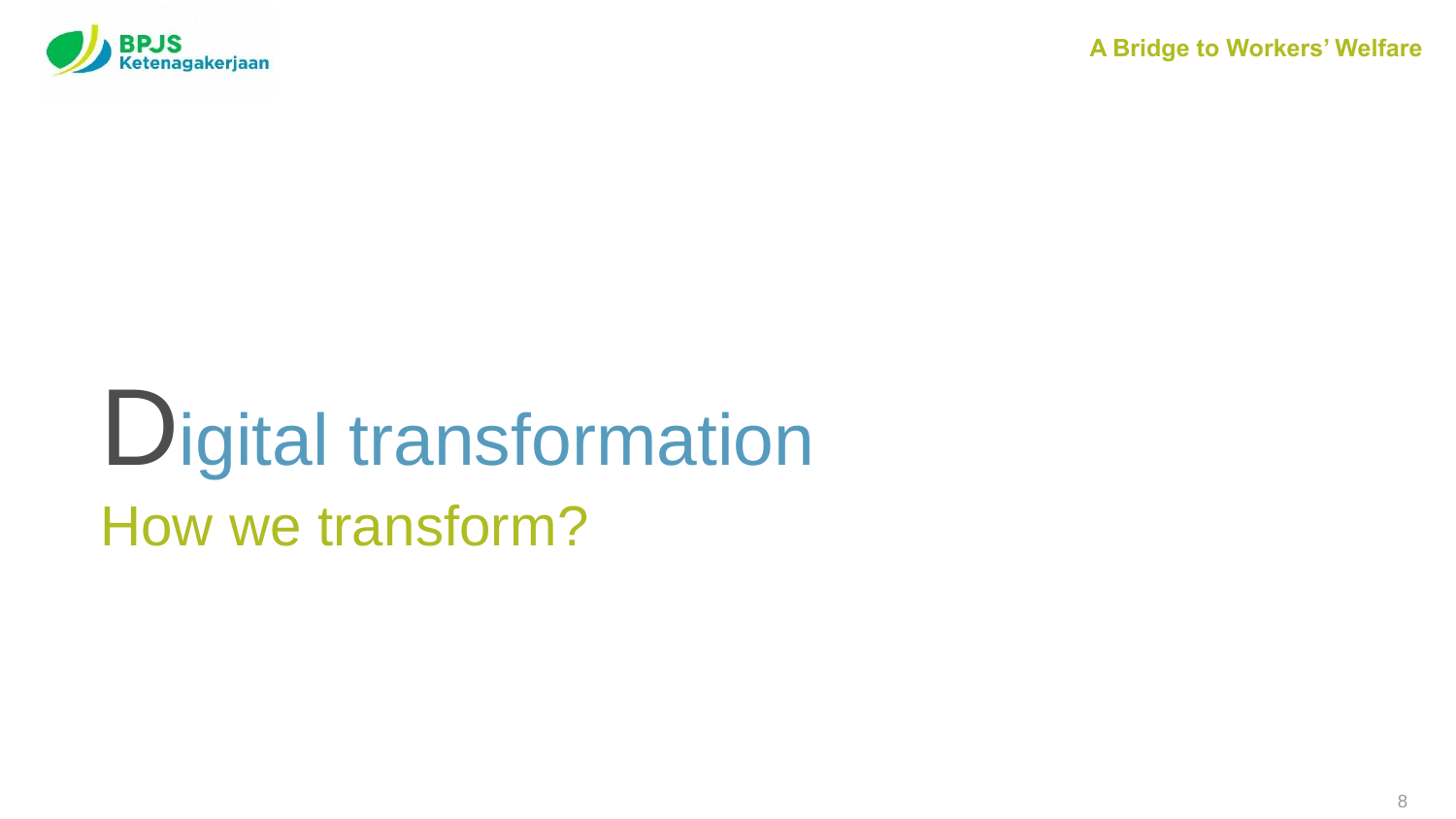

# Digital transformation How we transform?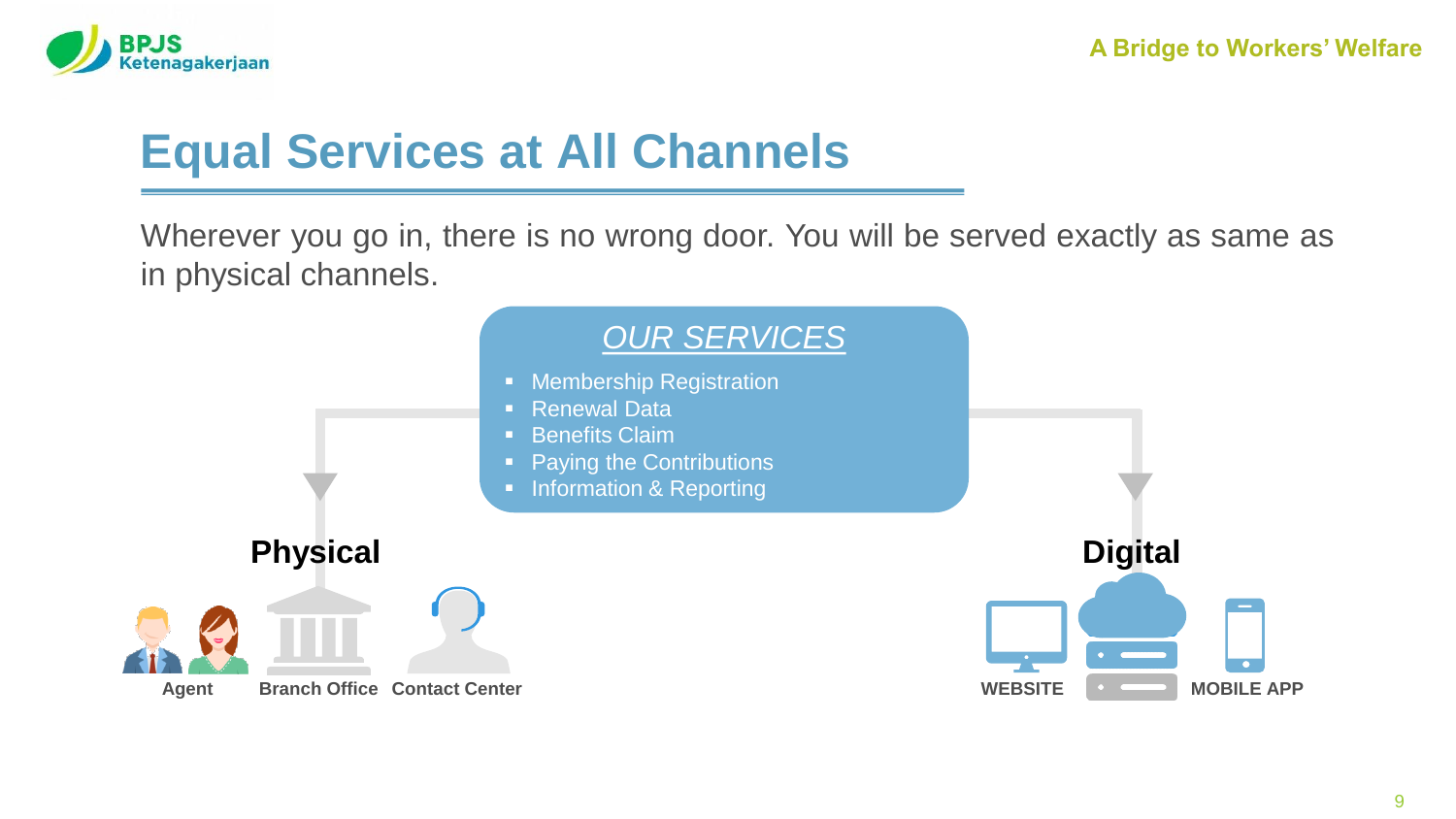

## **Equal Services at All Channels**

Wherever you go in, there is no wrong door. You will be served exactly as same as in physical channels.

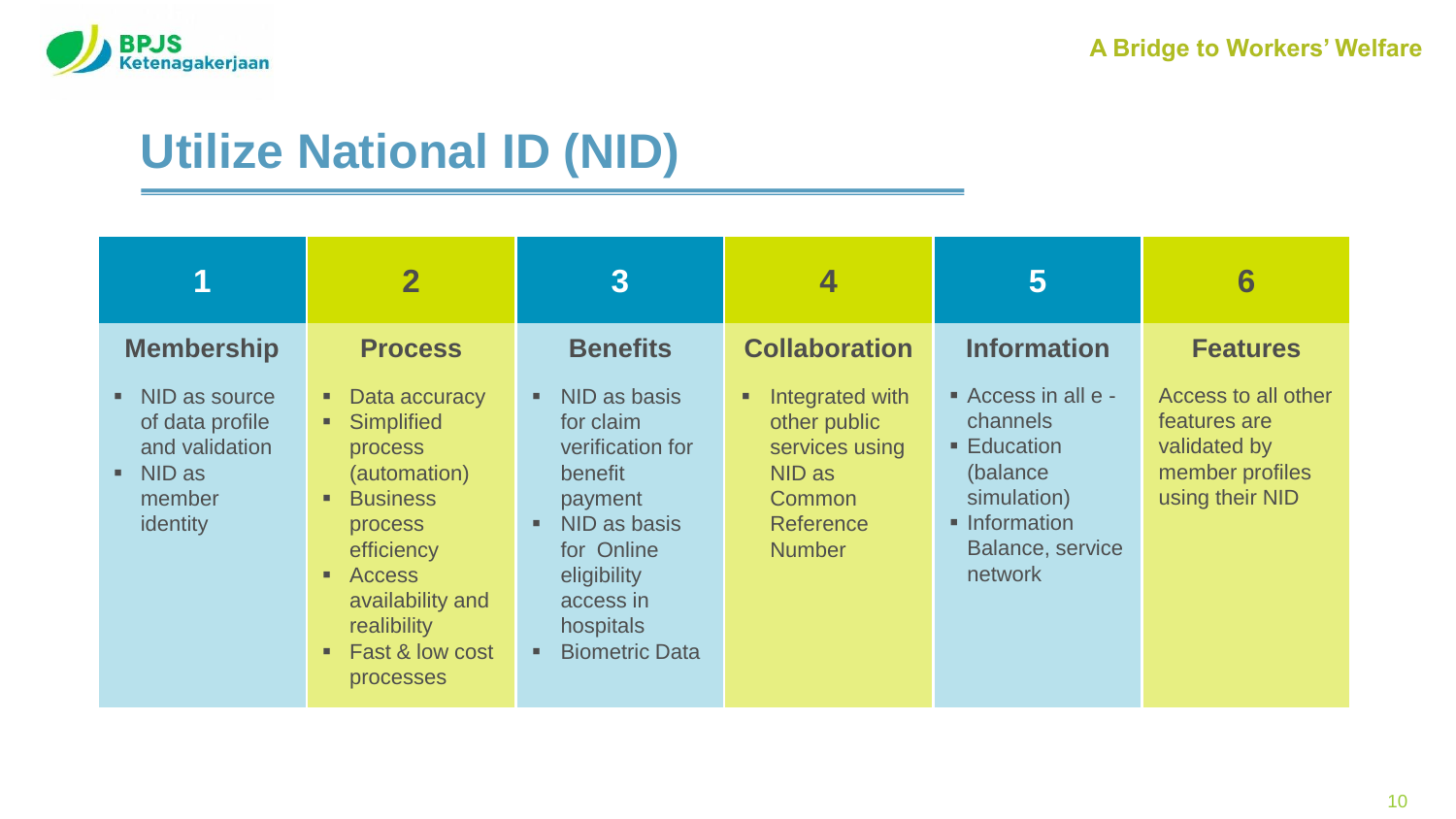

## **Utilize National ID (NID)**

|                                                                                                     | $\overline{\mathbf{2}}$                                                                                                                                                                                                | $\overline{3}$                                                                                                                                                      |                                                                                                          | 5                                                                                                                                     | 6                                                                                         |
|-----------------------------------------------------------------------------------------------------|------------------------------------------------------------------------------------------------------------------------------------------------------------------------------------------------------------------------|---------------------------------------------------------------------------------------------------------------------------------------------------------------------|----------------------------------------------------------------------------------------------------------|---------------------------------------------------------------------------------------------------------------------------------------|-------------------------------------------------------------------------------------------|
| <b>Membership</b>                                                                                   | <b>Process</b>                                                                                                                                                                                                         | <b>Benefits</b>                                                                                                                                                     | <b>Collaboration</b>                                                                                     | <b>Information</b>                                                                                                                    | <b>Features</b>                                                                           |
| $\blacksquare$ NID as source<br>of data profile<br>and validation<br>• NID as<br>member<br>identity | Data accuracy<br>٠<br>Simplified<br>٠<br><b>process</b><br>(automation)<br><b>Business</b><br>٠<br>process<br>efficiency<br><b>Access</b><br>٠<br>availability and<br>realibility<br>Fast & low cost<br>٠<br>processes | NID as basis<br>for claim<br>verification for<br>benefit<br>payment<br>NID as basis<br>for Online<br>eligibility<br>access in<br>hospitals<br><b>Biometric Data</b> | Integrated with<br>٠<br>other public<br>services using<br>NID as<br>Common<br>Reference<br><b>Number</b> | Access in all e -<br>channels<br>$\blacksquare$ Education<br>(balance)<br>simulation)<br>• Information<br>Balance, service<br>network | Access to all other<br>features are<br>validated by<br>member profiles<br>using their NID |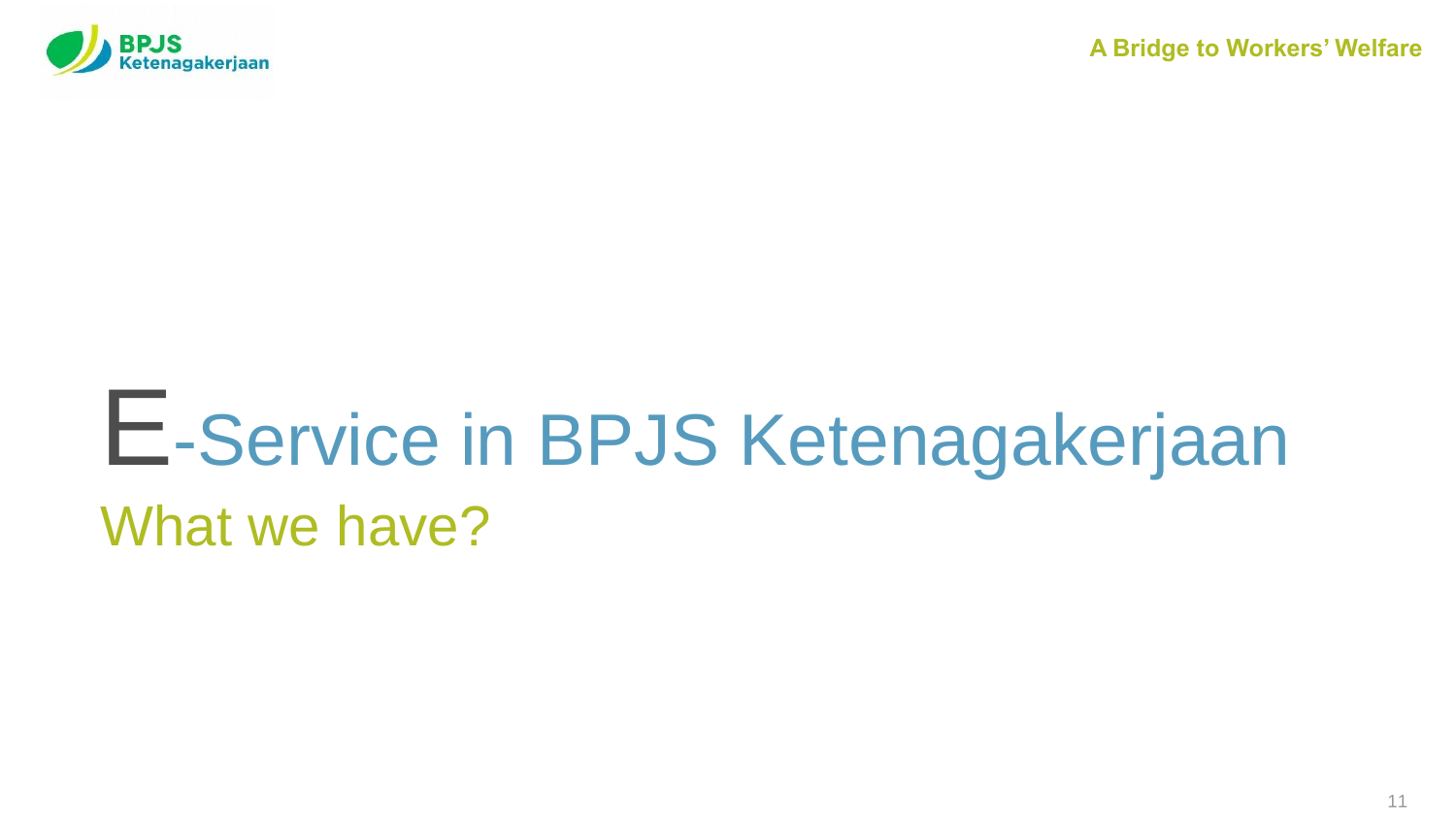

# E-Service in BPJS Ketenagakerjaan What we have?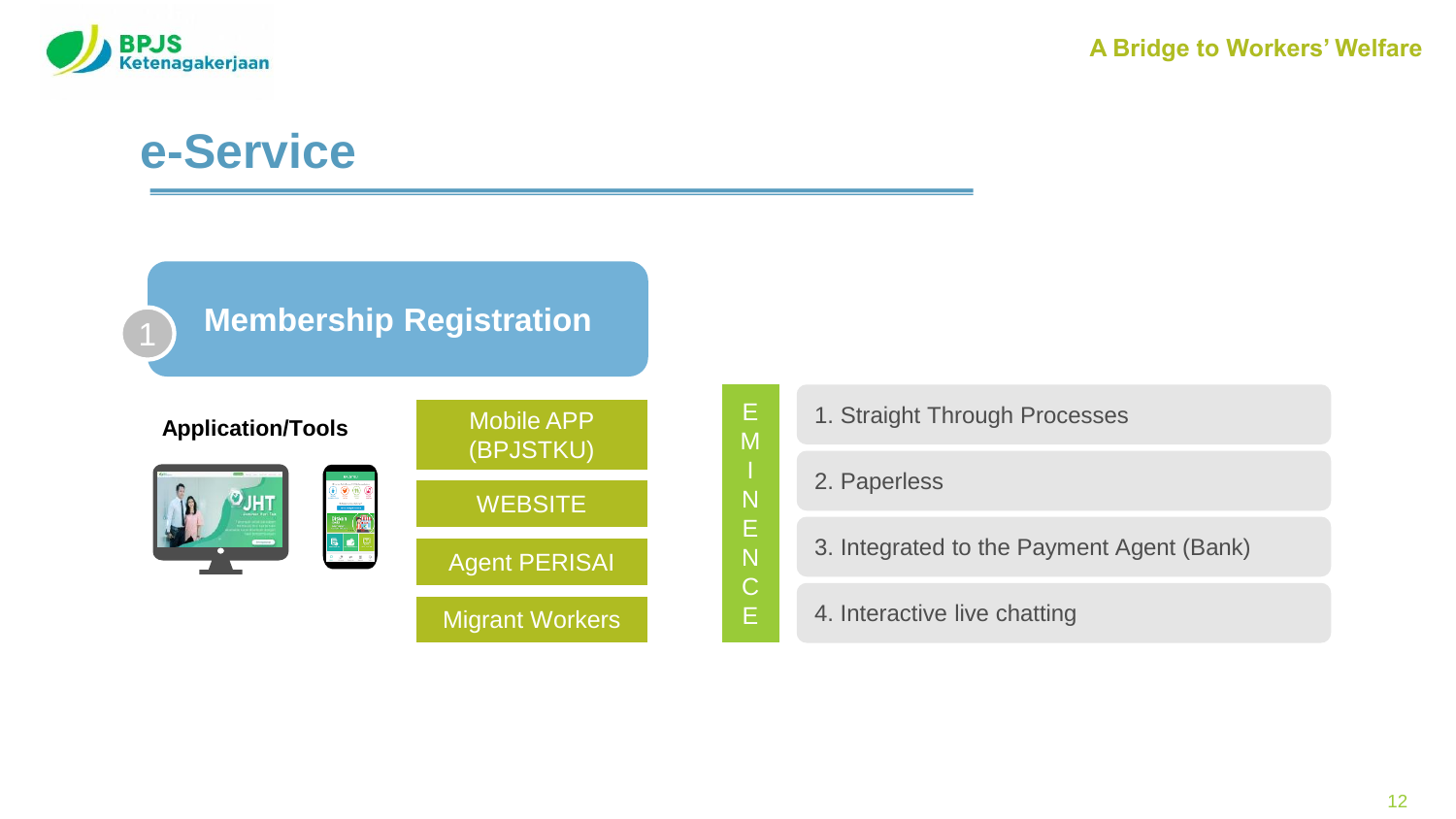

#### **Membership Registration**





Migrant Workers



**Application/Tools** Mobile APP **1.** Straight Through Processes

2. Paperless

E M

N E N C E

3. Integrated to the Payment Agent (Bank)

4. Interactive live chatting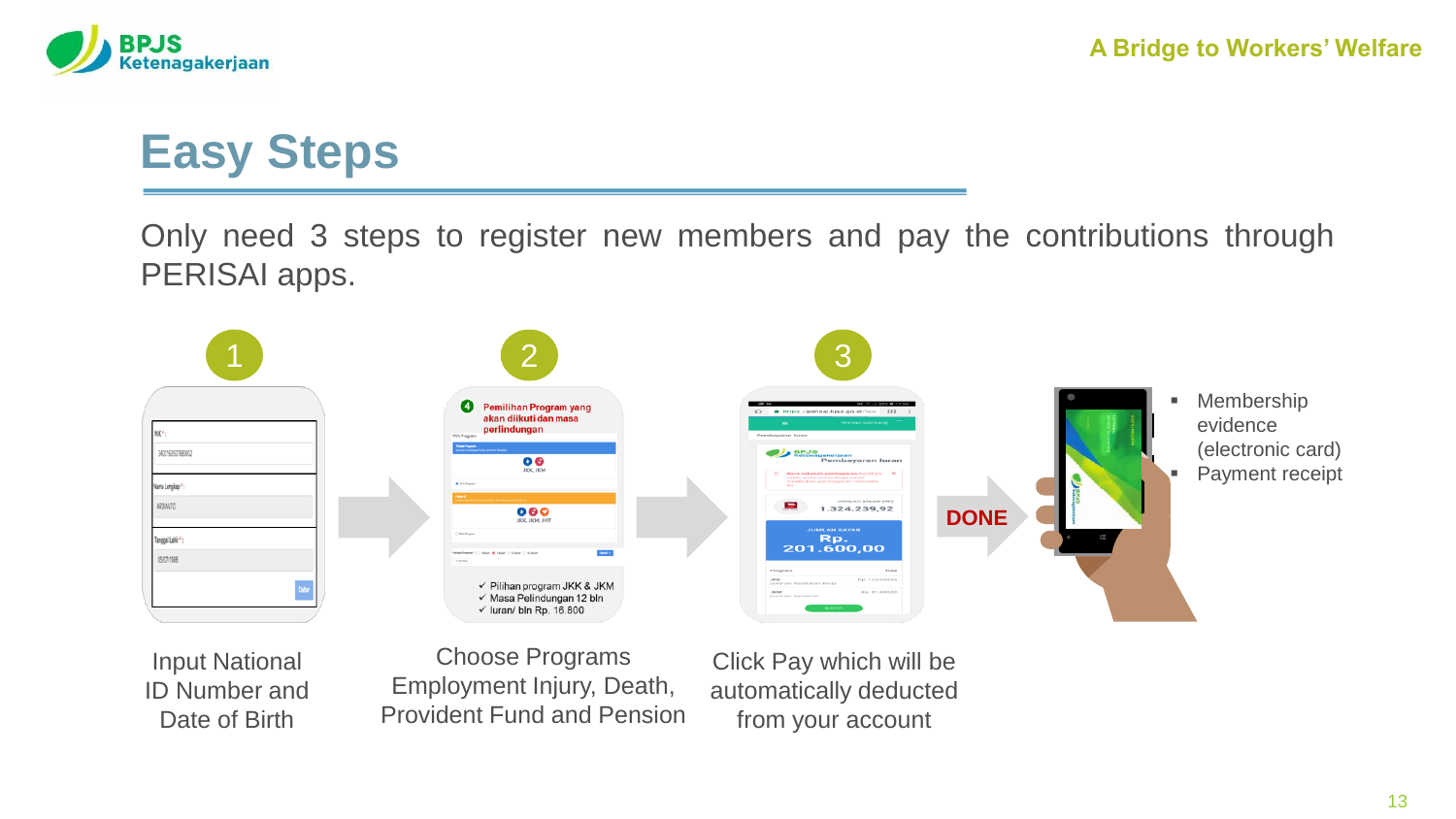

## **Easy Steps**

Only need 3 steps to register new members and pay the contributions through PERISAI apps.



Input National ID Number and Date of Birth

Choose Programs Employment Injury, Death, Provident Fund and Pension

Click Pay which will be automatically deducted from your account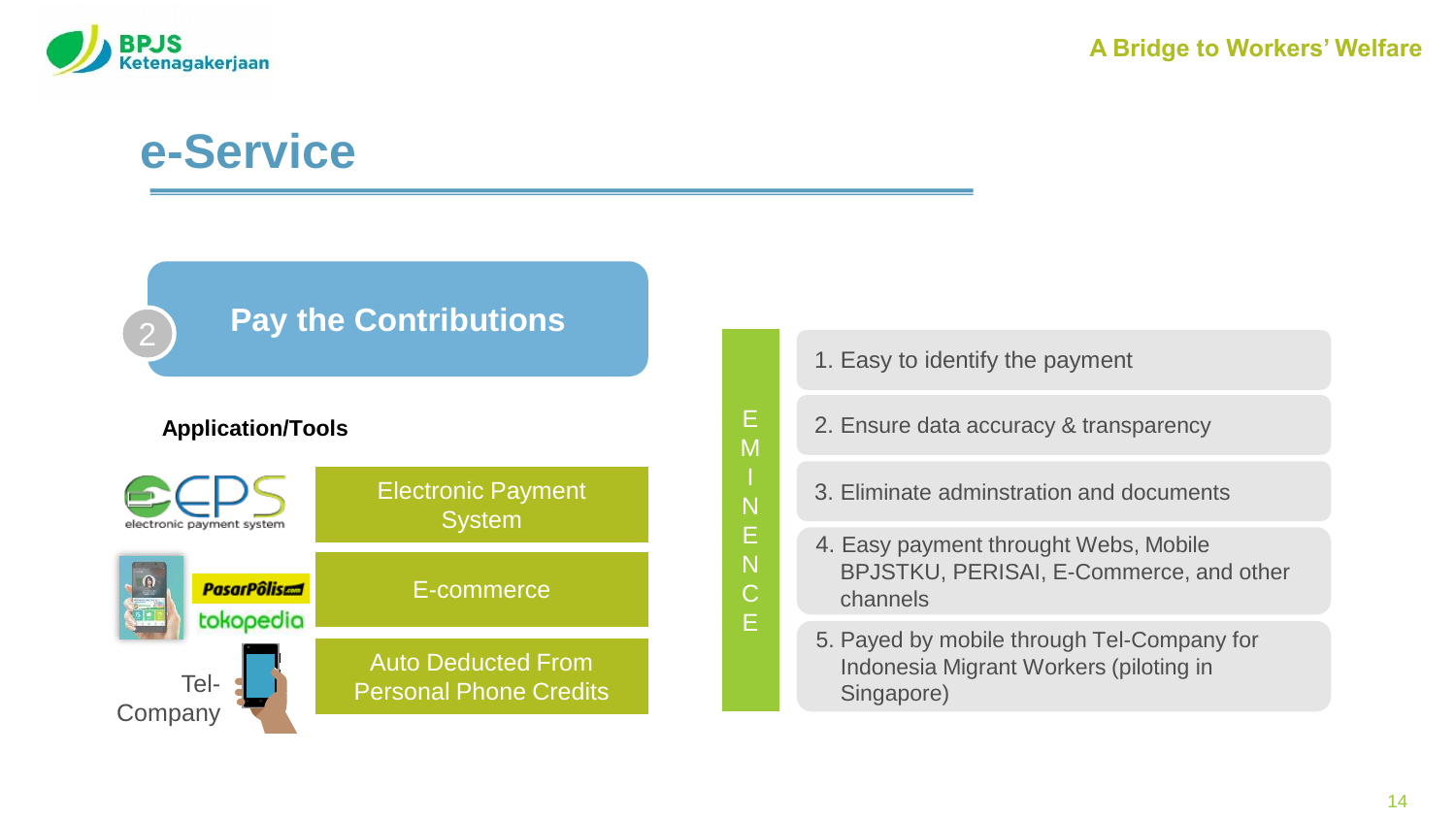

#### **Pay the Contributions**

#### **Application/Tools**



1. Easy to identify the payment

E M I N E N C E

- 2. Ensure data accuracy & transparency
- 3. Eliminate adminstration and documents
- 4. Easy payment throught Webs, Mobile BPJSTKU, PERISAI, E-Commerce, and other channels
- 5. Payed by mobile through Tel-Company for Indonesia Migrant Workers (piloting in Singapore)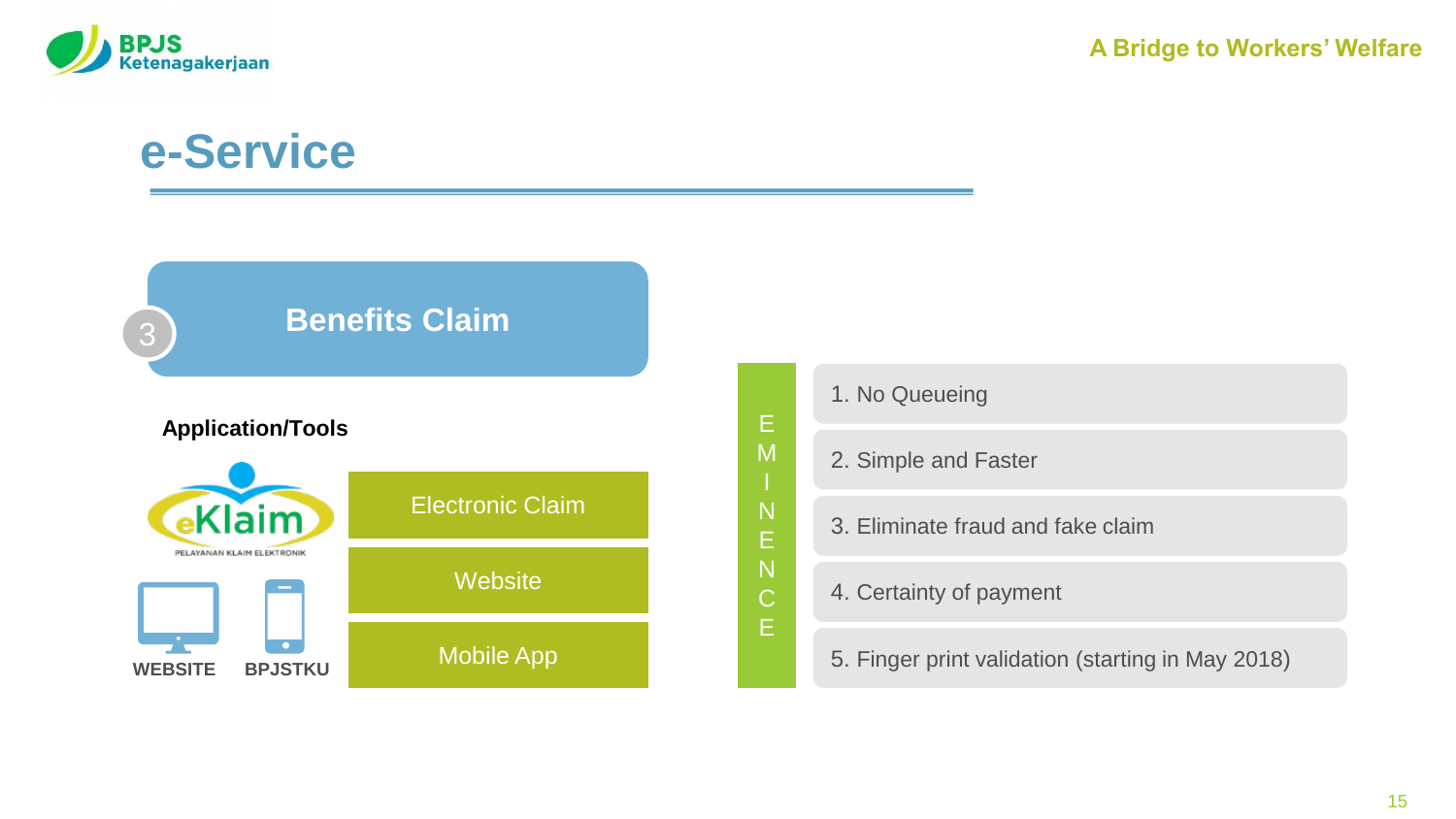



| Е                | 1. No Queueing                                    |
|------------------|---------------------------------------------------|
| M                | 2. Simple and Faster                              |
| N<br>E           | 3. Eliminate fraud and fake claim                 |
| N<br>$\mathsf C$ | 4. Certainty of payment                           |
| Ė                | 5. Finger print validation (starting in May 2018) |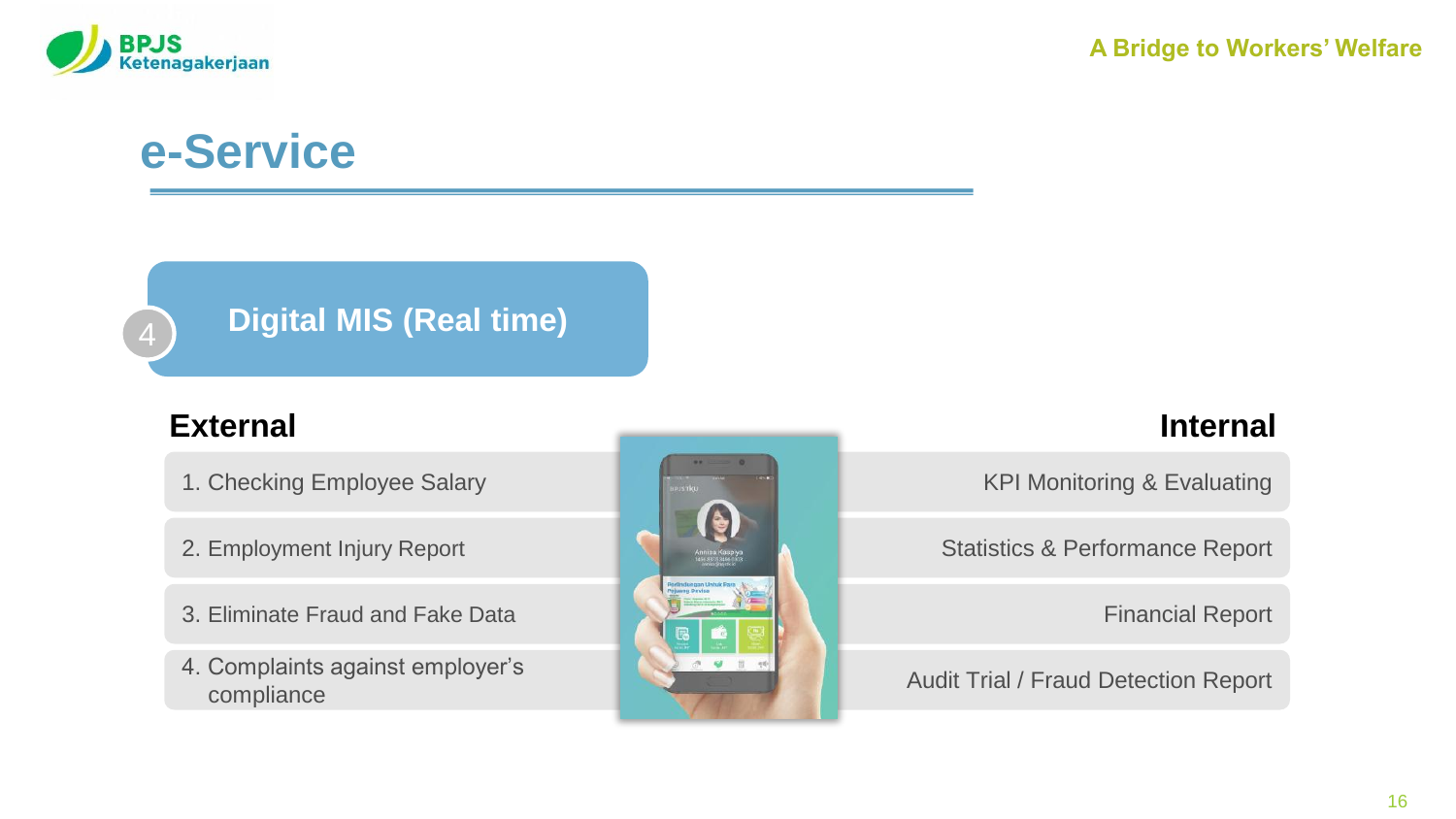

#### **Digital MIS (Real time)** <sup>4</sup>

- 1. Checking Employee Salary
- 2. Employment Injury Report
- 3. Eliminate Fraud and Fake Data
- 4. Complaints against employer's compliance



KPI Monitoring & Evaluating

Statistics & Performance Report

Financial Report

Audit Trial / Fraud Detection Report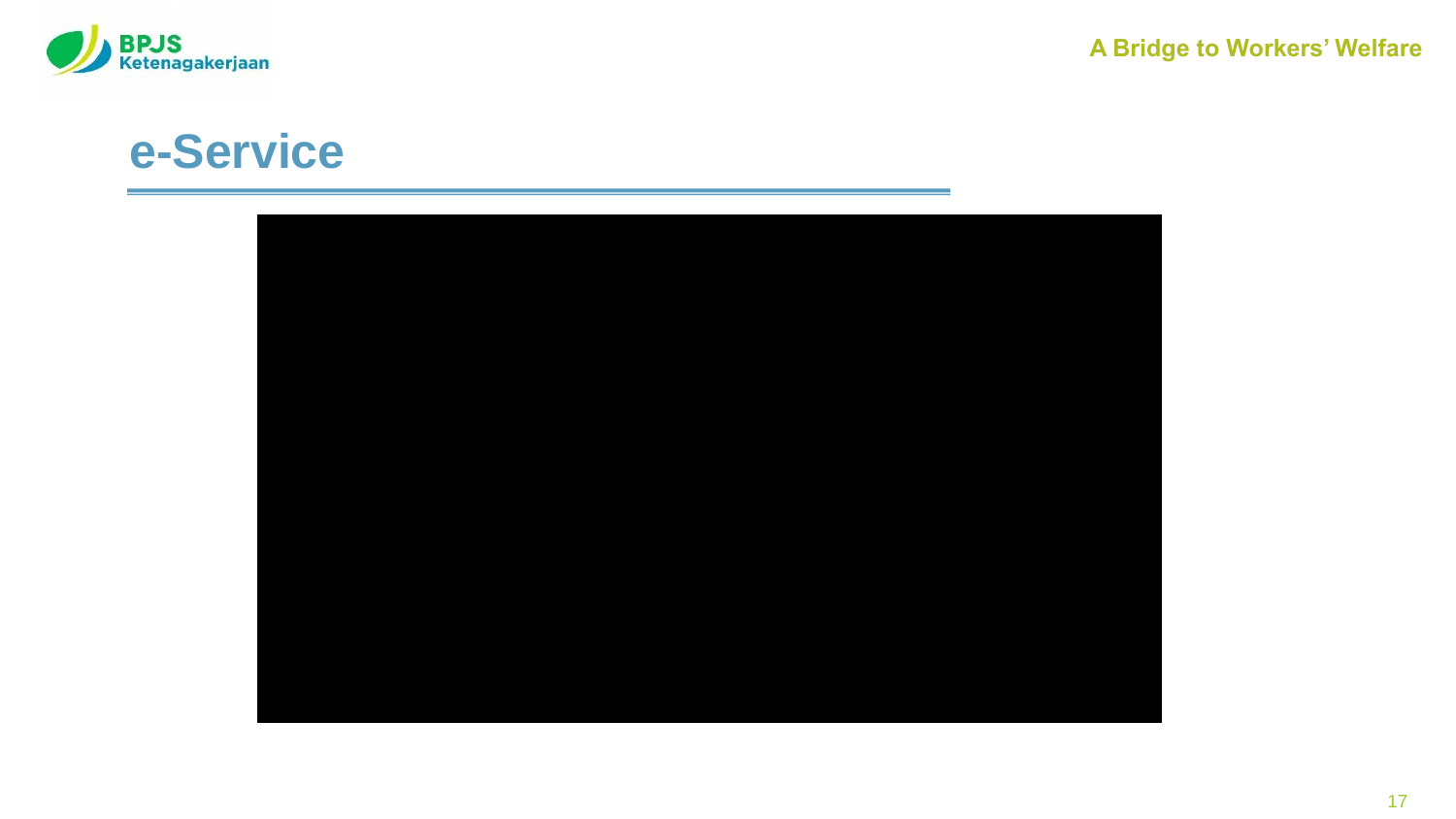

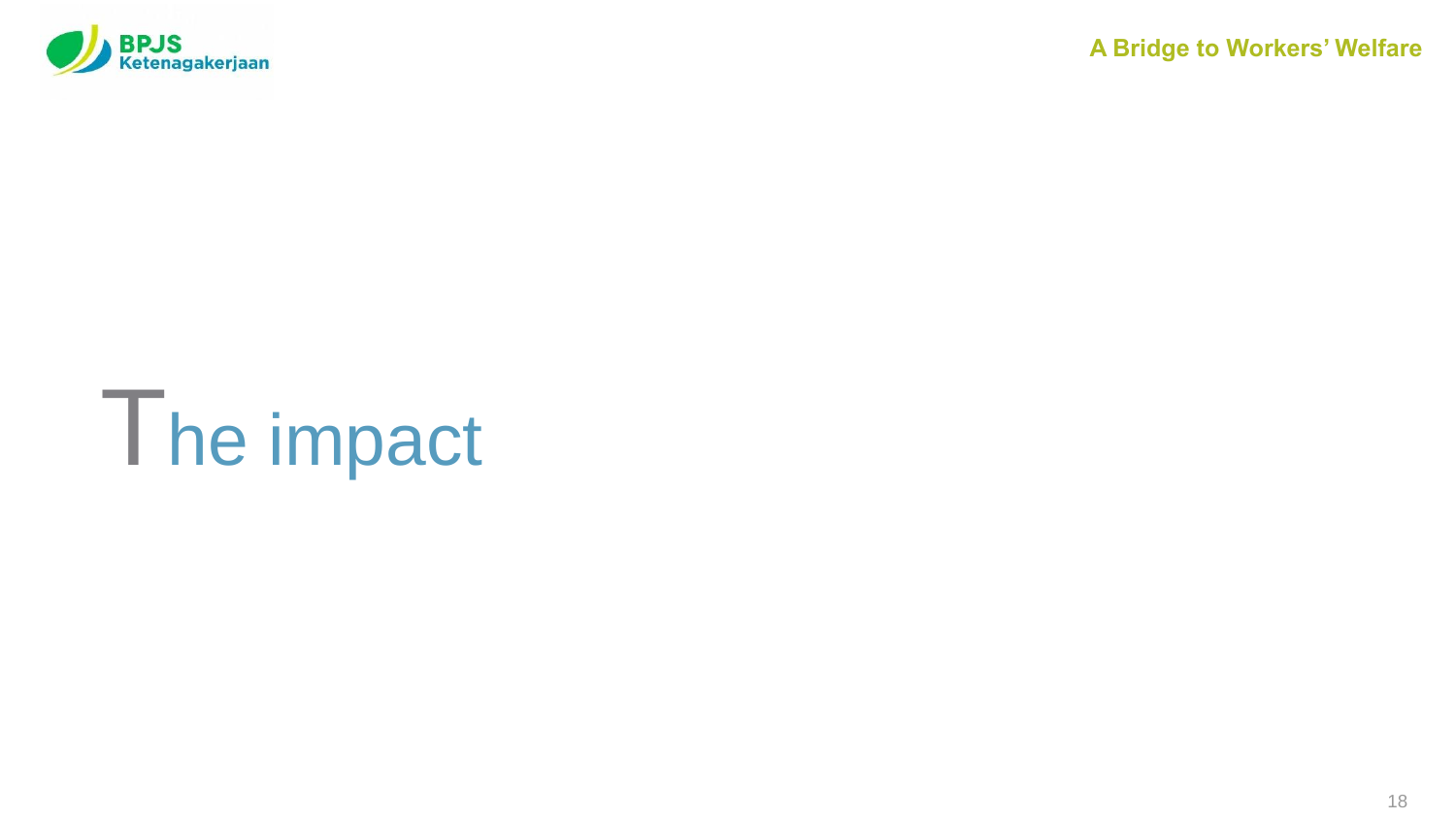

# The impact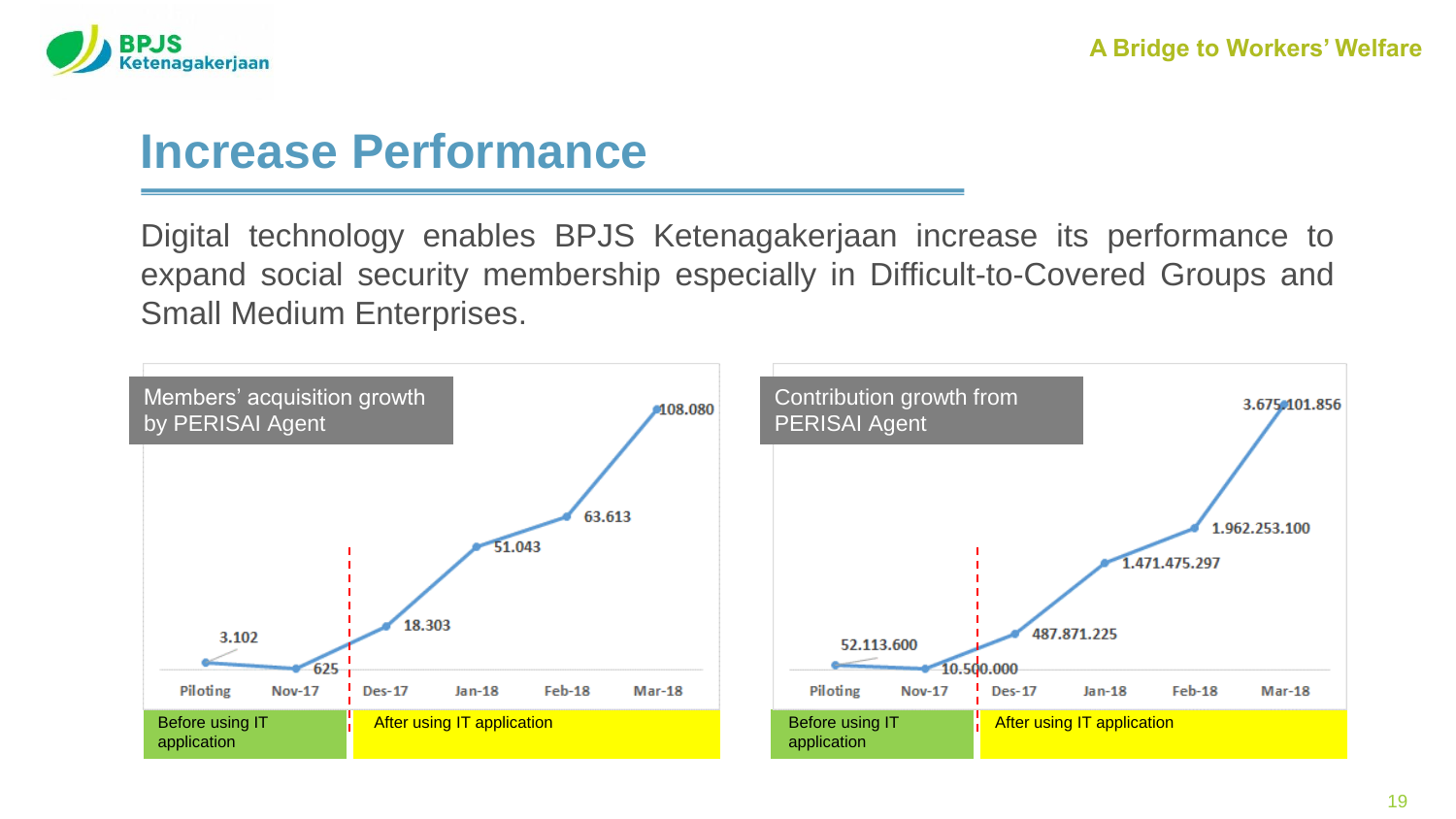

#### **Increase Performance**

Digital technology enables BPJS Ketenagakerjaan increase its performance to expand social security membership especially in Difficult-to-Covered Groups and Small Medium Enterprises.

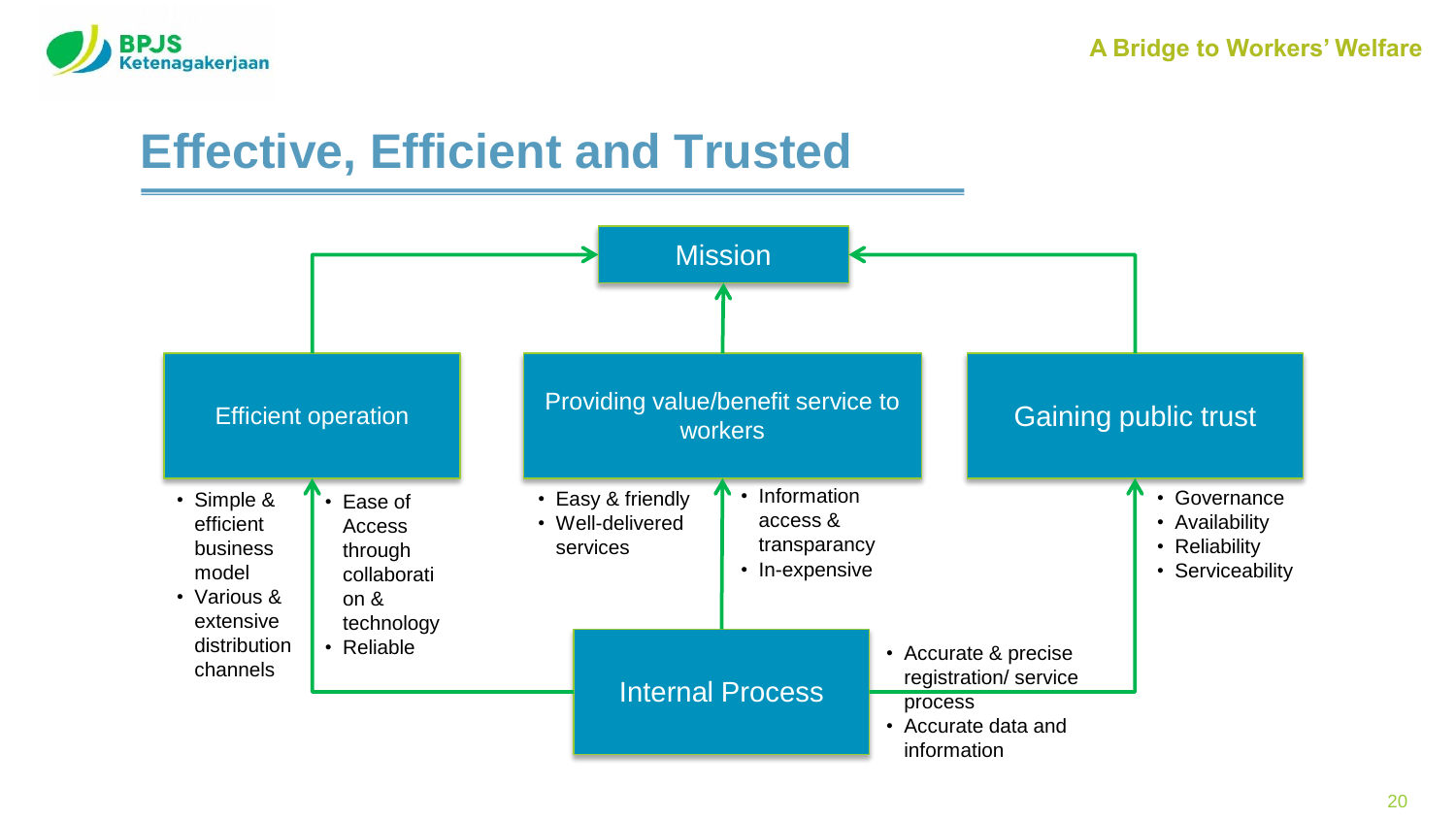

### **Effective, Efficient and Trusted**

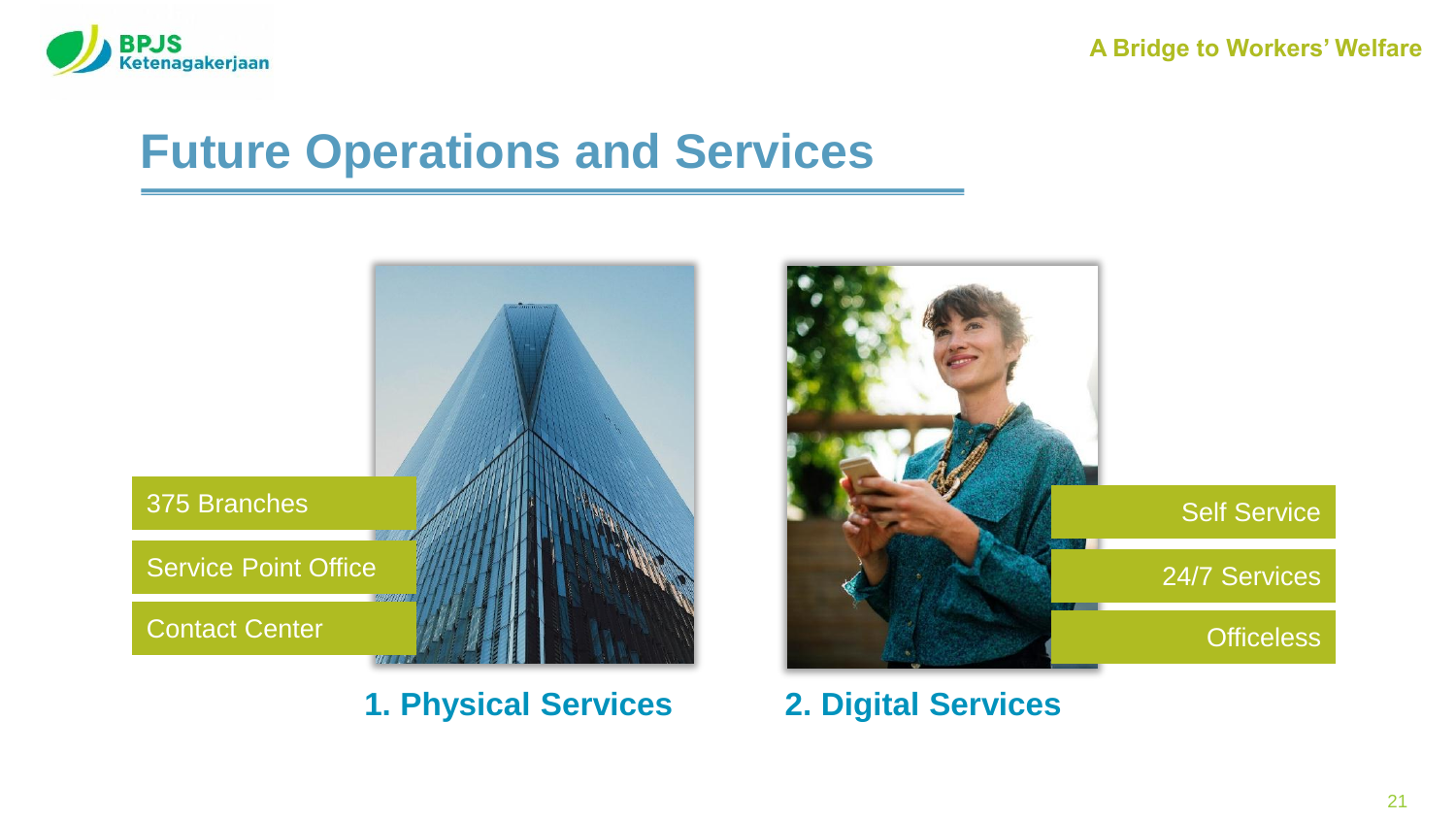

#### **Future Operations and Services**



**1. Physical Services 2. Digital Services**